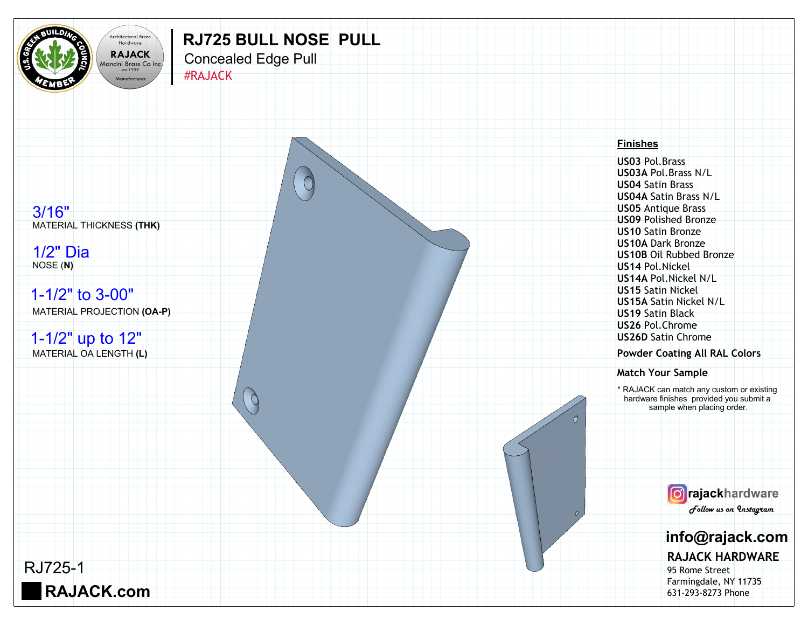

## **RJ725 BULL NOSE PULL**

Concealed Edge Pull

 $\overbrace{ }^{\text{est 1939}}$  #RAJACK



## **Finishes**

**US03** Pol.Brass **US03A** Pol.Brass N/L **US04** Satin Brass **US04A** Satin Brass N/L **US05** Antique Brass **US09** Polished Bronze **US10** Satin Bronze **US10A** Dark Bronze **US10B** Oil Rubbed Bronze **US14** Pol.Nickel **US14A** Pol.Nickel N/L **US15** Satin Nickel **US15A** Satin Nickel N/L **US19** Satin Black **US26** Pol.Chrome **US26D** Satin Chrome

**Powder Coating All RAL Colors**

**Match Your Sample**

\* RAJACK can match any custom or existing hardware finishes provided you submit a sample when placing order.



## **info@rajack.com**

**RAJACK HARDWARE**

95 Rome Street Farmingdale, NY 11735 631-293-8273 Phone